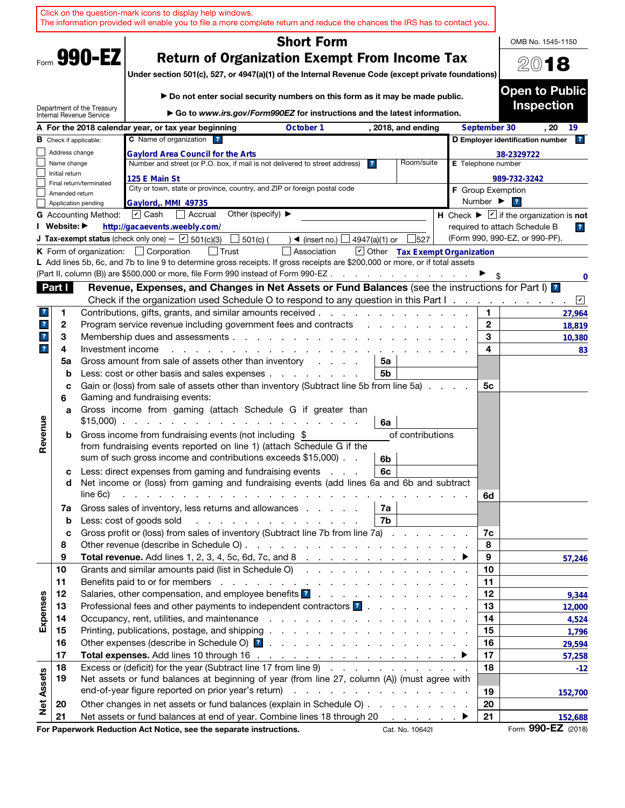|                         |                |                               | Click on the question-mark icons to display help windows.<br>The information provided will enable you to file a more complete return and reduce the chances the IRS has to contact you.                                                                                                                                                                                                       |                    |                              |                                                                             |
|-------------------------|----------------|-------------------------------|-----------------------------------------------------------------------------------------------------------------------------------------------------------------------------------------------------------------------------------------------------------------------------------------------------------------------------------------------------------------------------------------------|--------------------|------------------------------|-----------------------------------------------------------------------------|
|                         |                |                               | <b>Short Form</b>                                                                                                                                                                                                                                                                                                                                                                             |                    |                              | OMB No. 1545-1150                                                           |
|                         |                | Form 990-EZ                   | <b>Return of Organization Exempt From Income Tax</b><br>Under section 501(c), 527, or 4947(a)(1) of the Internal Revenue Code (except private foundations)                                                                                                                                                                                                                                    |                    |                              | 2018                                                                        |
|                         |                | Department of the Treasury    | Do not enter social security numbers on this form as it may be made public.<br>► Go to www.irs.gov/Form990EZ for instructions and the latest information.                                                                                                                                                                                                                                     |                    |                              | <b>Open to Public</b><br><b>Inspection</b>                                  |
|                         |                | Internal Revenue Service      | A For the 2018 calendar year, or tax year beginning<br>October 1<br>, 2018, and ending                                                                                                                                                                                                                                                                                                        |                    | September 30                 | . 20<br>19                                                                  |
|                         |                | <b>B</b> Check if applicable: | C Name of organization ?                                                                                                                                                                                                                                                                                                                                                                      |                    |                              | D Employer identification number<br> 2                                      |
|                         | Address change |                               | <b>Gaylord Area Council for the Arts</b>                                                                                                                                                                                                                                                                                                                                                      |                    |                              | 38-2329722                                                                  |
|                         | Name change    |                               | Number and street (or P.O. box, if mail is not delivered to street address)<br>Room/suite<br>$\overline{\mathbf{r}}$                                                                                                                                                                                                                                                                          | E Telephone number |                              |                                                                             |
|                         | Initial return |                               | 125 E Main St                                                                                                                                                                                                                                                                                                                                                                                 |                    |                              | 989-732-3242                                                                |
|                         | Amended return | Final return/terminated       | City or town, state or province, country, and ZIP or foreign postal code                                                                                                                                                                                                                                                                                                                      |                    |                              | <b>F</b> Group Exemption                                                    |
|                         |                | Application pending           | Gaylord, MMI 49735                                                                                                                                                                                                                                                                                                                                                                            |                    | Number $\blacktriangleright$ | $\overline{\mathbf{r}}$                                                     |
|                         |                | <b>G</b> Accounting Method:   | Other (specify) $\blacktriangleright$<br>$\boxed{\mathbf{v}}$ Cash<br>  Accrual                                                                                                                                                                                                                                                                                                               |                    |                              | H Check $\blacktriangleright \boxed{\mathbf{v}}$ if the organization is not |
|                         | I Website: ▶   |                               | http://gacaevents.weebly.com/                                                                                                                                                                                                                                                                                                                                                                 |                    |                              | required to attach Schedule B<br>$\overline{\mathbf{r}}$                    |
|                         |                |                               | <b>J Tax-exempt status</b> (check only one) - $\boxed{\text{V}}$ 501(c)(3)<br>527<br>$501(c)$ (<br>$\triangleleft$ (insert no.) $\lfloor$<br>4947(a)(1) or                                                                                                                                                                                                                                    |                    |                              | (Form 990, 990-EZ, or 990-PF).                                              |
|                         |                |                               | Other Tax Exempt Organization<br><b>K</b> Form of organization: $\Box$ Corporation<br>Association                                                                                                                                                                                                                                                                                             |                    |                              |                                                                             |
|                         |                |                               | L Add lines 5b, 6c, and 7b to line 9 to determine gross receipts. If gross receipts are \$200,000 or more, or if total assets<br>(Part II, column (B)) are \$500,000 or more, file Form 990 instead of Form 990-EZ.<br>the contract of the contract of                                                                                                                                        |                    |                              |                                                                             |
|                         | Part I         |                               | Revenue, Expenses, and Changes in Net Assets or Fund Balances (see the instructions for Part I) <sup>1</sup>                                                                                                                                                                                                                                                                                  |                    |                              | 0                                                                           |
|                         |                |                               | Check if the organization used Schedule O to respond to any question in this Part I.                                                                                                                                                                                                                                                                                                          |                    |                              | $\sqrt{2}$                                                                  |
| ?                       | 1              |                               | Contributions, gifts, grants, and similar amounts received.                                                                                                                                                                                                                                                                                                                                   |                    | 1.                           | 27,964                                                                      |
| $\mathbf{r}$            | 2              |                               | Program service revenue including government fees and contracts                                                                                                                                                                                                                                                                                                                               |                    | $\mathbf{2}$                 | 18,819                                                                      |
| $\mathbf{?}$            | 3              |                               | Membership dues and assessments                                                                                                                                                                                                                                                                                                                                                               |                    | 3                            | 10,380                                                                      |
| $\overline{\mathbf{r}}$ | 4              | Investment income             |                                                                                                                                                                                                                                                                                                                                                                                               |                    | 4                            | 83                                                                          |
|                         | 5a             |                               | Gross amount from sale of assets other than inventory<br>5a<br>and a state                                                                                                                                                                                                                                                                                                                    |                    |                              |                                                                             |
|                         | b              |                               | Less: cost or other basis and sales expenses<br>5b                                                                                                                                                                                                                                                                                                                                            |                    |                              |                                                                             |
|                         | c<br>6         |                               | Gain or (loss) from sale of assets other than inventory (Subtract line 5b from line 5a)<br>Gaming and fundraising events:                                                                                                                                                                                                                                                                     |                    | 5с                           |                                                                             |
|                         | a              |                               | Gross income from gaming (attach Schedule G if greater than<br>$$15,000$<br>6a                                                                                                                                                                                                                                                                                                                |                    |                              |                                                                             |
| Revenue                 | b              |                               | Gross income from fundraising events (not including \$<br>of contributions<br>from fundraising events reported on line 1) (attach Schedule G if the<br>sum of such gross income and contributions exceeds \$15,000).<br>6b                                                                                                                                                                    |                    |                              |                                                                             |
|                         | с<br>d         | line 6c)                      | Less: direct expenses from gaming and fundraising events<br>6c<br>Net income or (loss) from gaming and fundraising events (add lines 6a and 6b and subtract<br>and the contract of the contract of the contract of the contract of the contract of the contract of the contract of the contract of the contract of the contract of the contract of the contract of the contract of the contra |                    | 6d                           |                                                                             |
|                         | 7a             |                               | Gross sales of inventory, less returns and allowances<br>7а                                                                                                                                                                                                                                                                                                                                   |                    |                              |                                                                             |
|                         | b<br>c         |                               | Less: cost of goods sold<br>7b<br>and the contract of the contract of the contract of the contract of the contract of the contract of the contract of the contract of the contract of the contract of the contract of the contract of the contract of the contra<br>Gross profit or (loss) from sales of inventory (Subtract line 7b from line 7a)                                            |                    | 7c                           |                                                                             |
|                         | 8              |                               |                                                                                                                                                                                                                                                                                                                                                                                               |                    | 8                            |                                                                             |
|                         | 9              |                               |                                                                                                                                                                                                                                                                                                                                                                                               |                    | 9                            | 57,246                                                                      |
|                         | 10             |                               | Grants and similar amounts paid (list in Schedule O)                                                                                                                                                                                                                                                                                                                                          |                    | 10                           |                                                                             |
|                         | 11             |                               |                                                                                                                                                                                                                                                                                                                                                                                               |                    | 11                           |                                                                             |
|                         | 12             |                               | Salaries, other compensation, and employee benefits ?                                                                                                                                                                                                                                                                                                                                         |                    | 12                           | 9,344                                                                       |
| Expenses                | 13             |                               | Professional fees and other payments to independent contractors ?                                                                                                                                                                                                                                                                                                                             |                    | 13                           | 12,000                                                                      |
|                         | 14             |                               |                                                                                                                                                                                                                                                                                                                                                                                               |                    | 14                           | 4,524                                                                       |
|                         | 15             |                               |                                                                                                                                                                                                                                                                                                                                                                                               |                    | 15                           | 1,796                                                                       |
|                         | 16             |                               |                                                                                                                                                                                                                                                                                                                                                                                               |                    | 16                           | 29,594                                                                      |
|                         | 17             |                               |                                                                                                                                                                                                                                                                                                                                                                                               |                    | 17                           | 57,258                                                                      |
|                         | 18<br>19       |                               | Excess or (deficit) for the year (Subtract line 17 from line 9)<br>Net assets or fund balances at beginning of year (from line 27, column (A)) (must agree with                                                                                                                                                                                                                               |                    | 18                           | $-12$                                                                       |
| <b>Net Assets</b>       |                |                               |                                                                                                                                                                                                                                                                                                                                                                                               |                    | 19                           | 152,700                                                                     |
|                         | 20             |                               | Other changes in net assets or fund balances (explain in Schedule O)                                                                                                                                                                                                                                                                                                                          |                    | 20                           |                                                                             |
|                         | 21             |                               | Net assets or fund balances at end of year. Combine lines 18 through 20                                                                                                                                                                                                                                                                                                                       |                    | 21                           | 152,688                                                                     |
|                         |                |                               | For Paperwork Reduction Act Notice, see the separate instructions.<br>Cat. No. 10642I                                                                                                                                                                                                                                                                                                         |                    |                              | Form 990-EZ (2018)                                                          |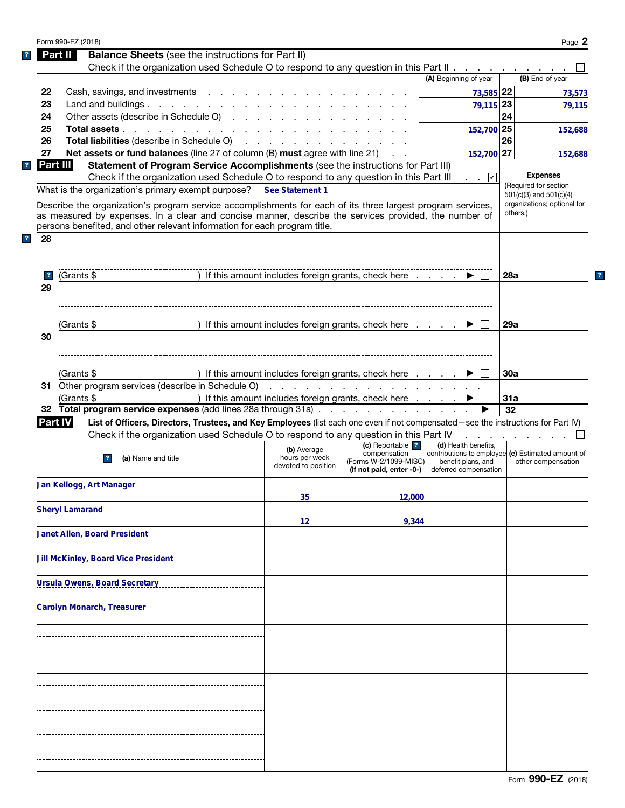|   |                         | Form 990-EZ (2018)                                                                                                                                                                                                             |                                                                                                                 |                                       |                                                                         |            | Page 2                                               |
|---|-------------------------|--------------------------------------------------------------------------------------------------------------------------------------------------------------------------------------------------------------------------------|-----------------------------------------------------------------------------------------------------------------|---------------------------------------|-------------------------------------------------------------------------|------------|------------------------------------------------------|
|   |                         | <b>Balance Sheets</b> (see the instructions for Part II)<br>Part II                                                                                                                                                            |                                                                                                                 |                                       |                                                                         |            |                                                      |
|   |                         | Check if the organization used Schedule O to respond to any question in this Part II                                                                                                                                           |                                                                                                                 |                                       |                                                                         |            |                                                      |
|   |                         |                                                                                                                                                                                                                                |                                                                                                                 |                                       | (A) Beginning of year                                                   |            | (B) End of year                                      |
|   | 22                      | Cash, savings, and investments                                                                                                                                                                                                 |                                                                                                                 |                                       | 73,585 22                                                               |            | 73,573                                               |
|   | 23                      | Land and buildings.                                                                                                                                                                                                            |                                                                                                                 |                                       | 79,115 23                                                               |            | 79,115                                               |
|   | 24                      | Other assets (describe in Schedule O)                                                                                                                                                                                          |                                                                                                                 |                                       |                                                                         | 24         |                                                      |
|   | 25                      | Total assets                                                                                                                                                                                                                   |                                                                                                                 |                                       | 152,700 25                                                              |            | 152,688                                              |
|   | 26                      | Total liabilities (describe in Schedule O) (Contact of Contact of Contact of Contact of Contact of Contact of Contact of Contact of Contact of Contact of Contact of Contact of Contact of Contact of Contact of Contact of Co |                                                                                                                 |                                       |                                                                         | 26         |                                                      |
|   | 27                      | <b>Net assets or fund balances</b> (line 27 of column $(B)$ must agree with line 21) $\ldots$                                                                                                                                  |                                                                                                                 |                                       | 152,700 27                                                              |            | 152,688                                              |
|   | Part III                | Statement of Program Service Accomplishments (see the instructions for Part III)                                                                                                                                               |                                                                                                                 |                                       |                                                                         |            |                                                      |
|   |                         | Check if the organization used Schedule O to respond to any question in this Part III                                                                                                                                          |                                                                                                                 |                                       | . . 凶                                                                   |            | <b>Expenses</b>                                      |
|   |                         | What is the organization's primary exempt purpose?                                                                                                                                                                             | See Statement 1                                                                                                 |                                       |                                                                         |            | (Required for section<br>$501(c)(3)$ and $501(c)(4)$ |
|   |                         | Describe the organization's program service accomplishments for each of its three largest program services,                                                                                                                    |                                                                                                                 |                                       |                                                                         |            | organizations; optional for                          |
|   |                         | as measured by expenses. In a clear and concise manner, describe the services provided, the number of                                                                                                                          |                                                                                                                 |                                       |                                                                         |            | others.)                                             |
|   |                         | persons benefited, and other relevant information for each program title.                                                                                                                                                      |                                                                                                                 |                                       |                                                                         |            |                                                      |
| ? | 28                      |                                                                                                                                                                                                                                |                                                                                                                 |                                       |                                                                         |            |                                                      |
|   |                         |                                                                                                                                                                                                                                |                                                                                                                 |                                       |                                                                         |            |                                                      |
|   |                         |                                                                                                                                                                                                                                |                                                                                                                 |                                       |                                                                         |            |                                                      |
|   | $\overline{\mathbf{r}}$ | (Grants \$                                                                                                                                                                                                                     | ) If this amount includes foreign grants, check here $\ldots$ $\blacktriangleright$                             |                                       |                                                                         | 28a        |                                                      |
|   | 29                      |                                                                                                                                                                                                                                |                                                                                                                 |                                       |                                                                         |            |                                                      |
|   |                         |                                                                                                                                                                                                                                |                                                                                                                 |                                       |                                                                         |            |                                                      |
|   |                         |                                                                                                                                                                                                                                |                                                                                                                 |                                       |                                                                         |            |                                                      |
|   | 30                      | (Grants \$                                                                                                                                                                                                                     | ) If this amount includes foreign grants, check here $\ldots$ $\blacktriangleright$                             |                                       |                                                                         | 29a        |                                                      |
|   |                         |                                                                                                                                                                                                                                |                                                                                                                 |                                       |                                                                         |            |                                                      |
|   |                         |                                                                                                                                                                                                                                |                                                                                                                 |                                       |                                                                         |            |                                                      |
|   |                         | (Grants \$                                                                                                                                                                                                                     | ) If this amount includes foreign grants, check here                                                            |                                       |                                                                         | <b>30a</b> |                                                      |
|   |                         | 31 Other program services (describe in Schedule O)                                                                                                                                                                             | the contract of the contract of the contract of the contract of the contract of the contract of the contract of |                                       |                                                                         |            |                                                      |
|   |                         | (Grants \$                                                                                                                                                                                                                     | ) If this amount includes foreign grants, check here                                                            |                                       |                                                                         | 31a        |                                                      |
|   |                         | 32 Total program service expenses (add lines 28a through 31a)                                                                                                                                                                  |                                                                                                                 |                                       |                                                                         | 32         |                                                      |
|   | <b>Part IV</b>          | List of Officers, Directors, Trustees, and Key Employees (list each one even if not compensated—see the instructions for Part IV)                                                                                              |                                                                                                                 |                                       |                                                                         |            |                                                      |
|   |                         | Check if the organization used Schedule O to respond to any question in this Part IV                                                                                                                                           |                                                                                                                 |                                       |                                                                         |            |                                                      |
|   |                         |                                                                                                                                                                                                                                |                                                                                                                 |                                       | and a state of the state of the state of                                |            |                                                      |
|   |                         |                                                                                                                                                                                                                                | (b) Average                                                                                                     | (c) Reportable   ?                    | (d) Health benefits.                                                    |            |                                                      |
|   |                         | (a) Name and title                                                                                                                                                                                                             | hours per week                                                                                                  | compensation<br>(Forms W-2/1099-MISC) | contributions to employee (e) Estimated amount of<br>benefit plans, and |            | other compensation                                   |
|   |                         |                                                                                                                                                                                                                                | devoted to position                                                                                             | (if not paid, enter -0-)              | deferred compensation                                                   |            |                                                      |
|   |                         | Jan Kellogg, Art Manager<br>------------------------------                                                                                                                                                                     |                                                                                                                 |                                       |                                                                         |            |                                                      |
|   |                         |                                                                                                                                                                                                                                | 35                                                                                                              | 12,000                                |                                                                         |            |                                                      |
|   |                         | <b>Sheryl Lamarand</b>                                                                                                                                                                                                         |                                                                                                                 |                                       |                                                                         |            |                                                      |
|   |                         |                                                                                                                                                                                                                                | 12                                                                                                              | 9,344                                 |                                                                         |            |                                                      |
|   |                         | Janet Allen, Board President                                                                                                                                                                                                   |                                                                                                                 |                                       |                                                                         |            |                                                      |
|   |                         |                                                                                                                                                                                                                                |                                                                                                                 |                                       |                                                                         |            |                                                      |
|   |                         | <b>Jill McKinley, Board Vice President</b>                                                                                                                                                                                     |                                                                                                                 |                                       |                                                                         |            |                                                      |
|   |                         |                                                                                                                                                                                                                                |                                                                                                                 |                                       |                                                                         |            |                                                      |
|   |                         | <b>Ursula Owens, Board Secretary</b>                                                                                                                                                                                           |                                                                                                                 |                                       |                                                                         |            |                                                      |
|   |                         |                                                                                                                                                                                                                                |                                                                                                                 |                                       |                                                                         |            |                                                      |
|   |                         | <b>Carolyn Monarch, Treasurer</b>                                                                                                                                                                                              |                                                                                                                 |                                       |                                                                         |            |                                                      |
|   |                         |                                                                                                                                                                                                                                |                                                                                                                 |                                       |                                                                         |            |                                                      |
|   |                         |                                                                                                                                                                                                                                |                                                                                                                 |                                       |                                                                         |            |                                                      |
|   |                         |                                                                                                                                                                                                                                |                                                                                                                 |                                       |                                                                         |            |                                                      |
|   |                         |                                                                                                                                                                                                                                |                                                                                                                 |                                       |                                                                         |            |                                                      |
|   |                         |                                                                                                                                                                                                                                |                                                                                                                 |                                       |                                                                         |            |                                                      |
|   |                         |                                                                                                                                                                                                                                |                                                                                                                 |                                       |                                                                         |            |                                                      |
|   |                         |                                                                                                                                                                                                                                |                                                                                                                 |                                       |                                                                         |            |                                                      |
|   |                         |                                                                                                                                                                                                                                |                                                                                                                 |                                       |                                                                         |            |                                                      |
|   |                         |                                                                                                                                                                                                                                |                                                                                                                 |                                       |                                                                         |            |                                                      |
|   |                         |                                                                                                                                                                                                                                |                                                                                                                 |                                       |                                                                         |            |                                                      |
|   |                         |                                                                                                                                                                                                                                |                                                                                                                 |                                       |                                                                         |            |                                                      |
|   |                         |                                                                                                                                                                                                                                |                                                                                                                 |                                       |                                                                         |            |                                                      |

 $\mathbf{?}$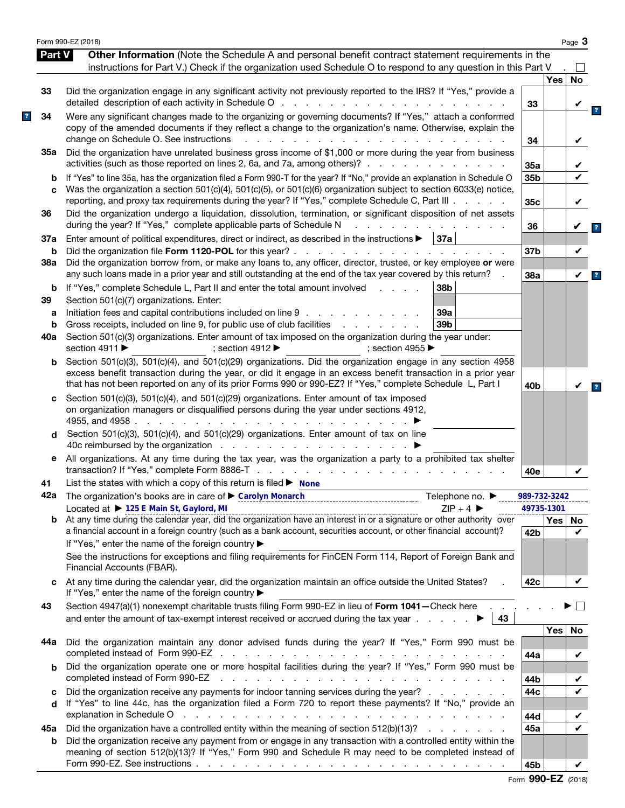|               | Form 990-EZ (2018)                                                                                                                                                                                                                                                                                                                          |                 |          | Page 3             |
|---------------|---------------------------------------------------------------------------------------------------------------------------------------------------------------------------------------------------------------------------------------------------------------------------------------------------------------------------------------------|-----------------|----------|--------------------|
| <b>Part V</b> | Other Information (Note the Schedule A and personal benefit contract statement requirements in the<br>instructions for Part V.) Check if the organization used Schedule O to respond to any question in this Part V                                                                                                                         |                 |          |                    |
|               |                                                                                                                                                                                                                                                                                                                                             |                 | Yes      | <b>No</b>          |
| 33            | Did the organization engage in any significant activity not previously reported to the IRS? If "Yes," provide a                                                                                                                                                                                                                             | 33              |          |                    |
| 34            | Were any significant changes made to the organizing or governing documents? If "Yes," attach a conformed<br>copy of the amended documents if they reflect a change to the organization's name. Otherwise, explain the<br>change on Schedule O. See instructions<br>$\mathbf{r}$<br>and a strain and a strain and                            | 34              |          | V                  |
| 35а           | Did the organization have unrelated business gross income of \$1,000 or more during the year from business<br>activities (such as those reported on lines 2, 6a, and 7a, among others)?                                                                                                                                                     | 35a             |          |                    |
| b             | If "Yes" to line 35a, has the organization filed a Form 990-T for the year? If "No," provide an explanation in Schedule O                                                                                                                                                                                                                   | 35b             |          |                    |
| C             | Was the organization a section 501(c)(4), 501(c)(5), or 501(c)(6) organization subject to section 6033(e) notice,<br>reporting, and proxy tax requirements during the year? If "Yes," complete Schedule C, Part III                                                                                                                         | 35c             |          | V                  |
| 36            | Did the organization undergo a liquidation, dissolution, termination, or significant disposition of net assets<br>during the year? If "Yes," complete applicable parts of Schedule N                                                                                                                                                        | 36              |          | V                  |
| 37a           | Enter amount of political expenditures, direct or indirect, as described in the instructions $\blacktriangleright$   37a                                                                                                                                                                                                                    |                 |          |                    |
| b             |                                                                                                                                                                                                                                                                                                                                             | 37b             |          | V                  |
| 38a           | Did the organization borrow from, or make any loans to, any officer, director, trustee, or key employee or were<br>any such loans made in a prior year and still outstanding at the end of the tax year covered by this return?                                                                                                             | 38a             |          | $\checkmark$       |
| b<br>39       | If "Yes," complete Schedule L, Part II and enter the total amount involved<br>38b<br>and the control of<br>Section 501(c)(7) organizations. Enter:                                                                                                                                                                                          |                 |          |                    |
| а             | Initiation fees and capital contributions included on line 9<br>39a                                                                                                                                                                                                                                                                         |                 |          |                    |
| b             | Gross receipts, included on line 9, for public use of club facilities<br>39 <sub>b</sub><br>and the company of the company of                                                                                                                                                                                                               |                 |          |                    |
| 40a           | Section 501(c)(3) organizations. Enter amount of tax imposed on the organization during the year under:<br>section 4911 ▶<br>; section 4912<br>; section 4955 $\blacktriangleright$                                                                                                                                                         |                 |          |                    |
| b             | Section 501(c)(3), 501(c)(4), and 501(c)(29) organizations. Did the organization engage in any section 4958<br>excess benefit transaction during the year, or did it engage in an excess benefit transaction in a prior year<br>that has not been reported on any of its prior Forms 990 or 990-EZ? If "Yes," complete Schedule L, Part I   | 40b             |          | V                  |
| c<br>d        | Section 501(c)(3), 501(c)(4), and 501(c)(29) organizations. Enter amount of tax imposed<br>on organization managers or disqualified persons during the year under sections 4912,<br>4955, and 4958.<br>the contract of the contract of the<br>Section 501(c)(3), 501(c)(4), and 501(c)(29) organizations. Enter amount of tax on line       |                 |          |                    |
| е             | All organizations. At any time during the tax year, was the organization a party to a prohibited tax shelter                                                                                                                                                                                                                                | 40e             |          |                    |
| 41            | List the states with which a copy of this return is filed $\blacktriangleright$ None                                                                                                                                                                                                                                                        |                 |          |                    |
|               | 42a The organization's books are in care of Carolyn Monarch<br>Telephone no. $\blacktriangleright$                                                                                                                                                                                                                                          | 989-732-3242    |          |                    |
|               | Located at ▶ 125 E Main St, Gaylord, MI<br>$ZIP + 4$<br>$\frac{1}{2}$ Located at $\blacktriangleright$ 125 E Main St, Gaylord, Minimum Control Control Control Control CD + 4 $\blacktriangleright$ 2001 2001<br>At any time during the calendar year, did the organization have an interest in or a signature or other                     | 49735-1301      |          |                    |
| b             | a financial account in a foreign country (such as a bank account, securities account, or other financial account)?<br>If "Yes," enter the name of the foreign country ▶                                                                                                                                                                     | 42 <sub>b</sub> | Yes   No | $\boldsymbol{\nu}$ |
|               | See the instructions for exceptions and filing requirements for FinCEN Form 114, Report of Foreign Bank and<br>Financial Accounts (FBAR).                                                                                                                                                                                                   |                 |          |                    |
| c             | At any time during the calendar year, did the organization maintain an office outside the United States?<br>If "Yes," enter the name of the foreign country ▶                                                                                                                                                                               | 42c             |          | V                  |
| 43            | Section 4947(a)(1) nonexempt charitable trusts filing Form 990-EZ in lieu of Form 1041-Check here<br>43                                                                                                                                                                                                                                     |                 |          |                    |
|               |                                                                                                                                                                                                                                                                                                                                             |                 | Yes      | No                 |
| 44а           | Did the organization maintain any donor advised funds during the year? If "Yes," Form 990 must be                                                                                                                                                                                                                                           | 44a             |          | V                  |
| b             | Did the organization operate one or more hospital facilities during the year? If "Yes," Form 990 must be<br>completed instead of Form 990-EZ<br>the contract of the contract of the contract of the contract of the contract of                                                                                                             |                 |          |                    |
| c             | Did the organization receive any payments for indoor tanning services during the year?                                                                                                                                                                                                                                                      | 44b<br>44c      |          | V                  |
| d             | If "Yes" to line 44c, has the organization filed a Form 720 to report these payments? If "No," provide an<br>explanation in Schedule O response to the contract of the contract of the contract of the contract of the contract of the contract of the contract of the contract of the contract of the contract of the contract of the cont | 44d             |          |                    |
| 45а           | Did the organization have a controlled entity within the meaning of section 512(b)(13)?                                                                                                                                                                                                                                                     | 45a             |          | ✔                  |
| b             | Did the organization receive any payment from or engage in any transaction with a controlled entity within the<br>meaning of section 512(b)(13)? If "Yes," Form 990 and Schedule R may need to be completed instead of                                                                                                                      |                 |          |                    |
|               |                                                                                                                                                                                                                                                                                                                                             | 45b             |          | V                  |